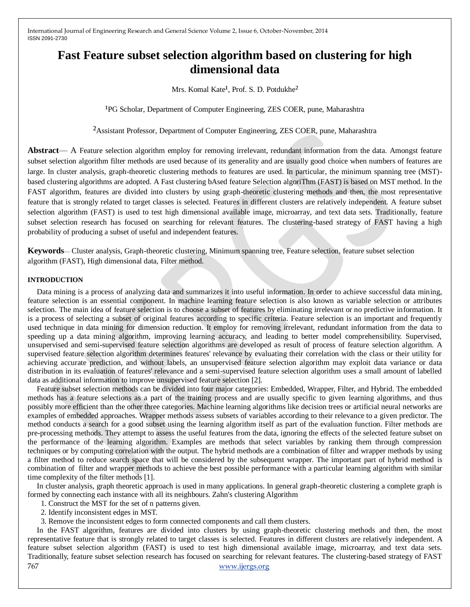# **Fast Feature subset selection algorithm based on clustering for high dimensional data**

Mrs. Komal Kate<sup>1</sup>, Prof. S. D. Potdukhe<sup>2</sup>

<sup>1</sup>PG Scholar, Department of Computer Engineering, ZES COER, pune, Maharashtra

<sup>2</sup>Assistant Professor, Department of Computer Engineering, ZES COER, pune, Maharashtra

**Abstract**— A Feature selection algorithm employ for removing irrelevant, redundant information from the data. Amongst feature subset selection algorithm filter methods are used because of its generality and are usually good choice when numbers of features are large. In cluster analysis, graph-theoretic clustering methods to features are used. In particular, the minimum spanning tree (MST) based clustering algorithms are adopted. A Fast clustering bAsed feature Selection algoriThm (FAST) is based on MST method. In the FAST algorithm, features are divided into clusters by using graph-theoretic clustering methods and then, the most representative feature that is strongly related to target classes is selected. Features in different clusters are relatively independent. A feature subset selection algorithm (FAST) is used to test high dimensional available image, microarray, and text data sets. Traditionally, feature subset selection research has focused on searching for relevant features. The clustering-based strategy of FAST having a high probability of producing a subset of useful and independent features.

**Keywords**— Cluster analysis, Graph-theoretic clustering, Minimum spanning tree, Feature selection, feature subset selection algorithm (FAST), High dimensional data, Filter method.

#### **INTRODUCTION**

Data mining is a process of analyzing data and summarizes it into useful information. In order to achieve successful data mining, feature selection is an essential component. In machine learning feature selection is also known as variable selection or attributes selection. The main idea of feature selection is to choose a subset of features by eliminating irrelevant or no predictive information. It is a process of selecting a subset of original features according to specific criteria. Feature selection is an important and frequently used technique in data mining for dimension reduction. It employ for removing irrelevant, redundant information from the data to speeding up a data mining algorithm, improving learning accuracy, and leading to better model comprehensibility. Supervised, unsupervised and semi-supervised feature selection algorithms are developed as result of process of feature selection algorithm. A supervised feature selection algorithm determines features' relevance by evaluating their correlation with the class or their utility for achieving accurate prediction, and without labels, an unsupervised feature selection algorithm may exploit data variance or data distribution in its evaluation of features' relevance and a semi-supervised feature selection algorithm uses a small amount of labelled data as additional information to improve unsupervised feature selection [2].

Feature subset selection methods can be divided into four major categories: Embedded, Wrapper, Filter, and Hybrid. The embedded methods has a feature selections as a part of the training process and are usually specific to given learning algorithms, and thus possibly more efficient than the other three categories. Machine learning algorithms like decision trees or artificial neural networks are examples of embedded approaches. Wrapper methods assess subsets of variables according to their relevance to a given predictor. The method conducts a search for a good subset using the learning algorithm itself as part of the evaluation function. Filter methods are pre-processing methods. They attempt to assess the useful features from the data, ignoring the effects of the selected feature subset on the performance of the learning algorithm. Examples are methods that select variables by ranking them through compression techniques or by computing correlation with the output. The hybrid methods are a combination of filter and wrapper methods by using a filter method to reduce search space that will be considered by the subsequent wrapper. The important part of hybrid method is combination of filter and wrapper methods to achieve the best possible performance with a particular learning algorithm with similar time complexity of the filter methods [1].

In cluster analysis, graph theoretic approach is used in many applications. In general graph-theoretic clustering a complete graph is formed by connecting each instance with all its neighbours. Zahn's clustering Algorithm

- 1. Construct the MST for the set of n patterns given.
- 2. Identify inconsistent edges in MST.
- 3. Remove the inconsistent edges to form connected components and call them clusters.

767 www.ijergs.org In the FAST algorithm, features are divided into clusters by using graph-theoretic clustering methods and then, the most representative feature that is strongly related to target classes is selected. Features in different clusters are relatively independent. A feature subset selection algorithm (FAST) is used to test high dimensional available image, microarray, and text data sets. Traditionally, feature subset selection research has focused on searching for relevant features. The clustering-based strategy of FAST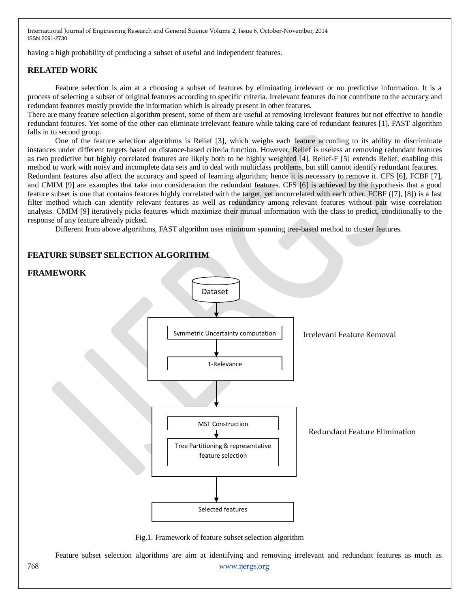having a high probability of producing a subset of useful and independent features.

## **RELATED WORK**

Feature selection is aim at a choosing a subset of features by eliminating irrelevant or no predictive information. It is a process of selecting a subset of original features according to specific criteria. Irrelevant features do not contribute to the accuracy and redundant features mostly provide the information which is already present in other features.

There are many feature selection algorithm present, some of them are useful at removing irrelevant features but not effective to handle redundant features. Yet some of the other can eliminate irrelevant feature while taking care of redundant features [1]. FAST algorithm falls in to second group.

One of the feature selection algorithms is Relief [3], which weighs each feature according to its ability to discriminate instances under different targets based on distance-based criteria function. However, Relief is useless at removing redundant features as two predictive but highly correlated features are likely both to be highly weighted [4]. Relief-F [5] extends Relief, enabling this method to work with noisy and incomplete data sets and to deal with multiclass problems, but still cannot identify redundant features. Redundant features also affect the accuracy and speed of learning algorithm; hence it is necessary to remove it. CFS [6], FCBF [7],

and CMIM [9] are examples that take into consideration the redundant features. CFS [6] is achieved by the hypothesis that a good feature subset is one that contains features highly correlated with the target, yet uncorrelated with each other. FCBF ([7], [8]) is a fast filter method which can identify relevant features as well as redundancy among relevant features without pair wise correlation analysis. CMIM [9] iteratively picks features which maximize their mutual information with the class to predict, conditionally to the response of any feature already picked.

Different from above algorithms, FAST algorithm uses minimum spanning tree-based method to cluster features.

#### **FEATURE SUBSET SELECTION ALGORITHM**



Fig.1. Framework of feature subset selection algorithm

768 www.ijergs.org Feature subset selection algorithms are aim at identifying and removing irrelevant and redundant features as much as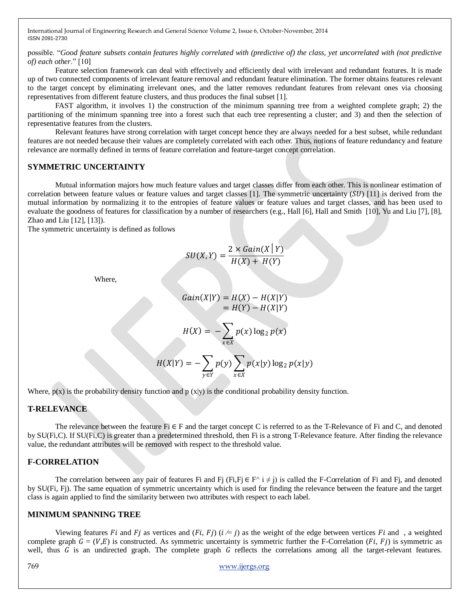possible. "*Good feature subsets contain features highly correlated with (predictive of) the class, yet uncorrelated with (not predictive of) each other*." [10]

Feature selection framework can deal with effectively and efficiently deal with irrelevant and redundant features. It is made up of two connected components of irrelevant feature removal and redundant feature elimination. The former obtains features relevant to the target concept by eliminating irrelevant ones, and the latter removes redundant features from relevant ones via choosing representatives from different feature clusters, and thus produces the final subset [1].

FAST algorithm, it involves 1) the construction of the minimum spanning tree from a weighted complete graph; 2) the partitioning of the minimum spanning tree into a forest such that each tree representing a cluster; and 3) and then the selection of representative features from the clusters.

Relevant features have strong correlation with target concept hence they are always needed for a best subset, while redundant features are not needed because their values are completely correlated with each other. Thus, notions of feature redundancy and feature relevance are normally defined in terms of feature correlation and feature-target concept correlation.

#### **SYMMETRIC UNCERTAINTY**

Mutual information majors how much feature values and target classes differ from each other. This is nonlinear estimation of correlation between feature values or feature values and target classes [1]. The symmetric uncertainty  $(SU)$  [11] is derived from the mutual information by normalizing it to the entropies of feature values or feature values and target classes, and has been used to evaluate the goodness of features for classification by a number of researchers (e.g., Hall [6], Hall and Smith [10], Yu and Liu [7], [8], Zhao and Liu [12], [13]).

The symmetric uncertainty is defined as follows

$$
SU(X,Y) = \frac{2 \times Gain(X \mid Y)}{H(X) + H(Y)}
$$

Where,

$$
Gain(X|Y) = H(X) - H(X|Y)
$$
  
= H(Y) - H(X|Y)

$$
H(X) = -\sum_{x \in X} p(x) \log_2 p(x)
$$

$$
H(X|Y) = -\sum_{y \in Y} p(y) \sum_{x \in X} p(x|y) \log_2 p(x|y)
$$

Where,  $p(x)$  is the probability density function and p  $(x|y)$  is the conditional probability density function.

#### **T-RELEVANCE**

The relevance between the feature  $Fi \in F$  and the target concept C is referred to as the T-Relevance of Fi and C, and denoted by SU(Fi,C). If SU(Fi,C) is greater than a predetermined threshold, then Fi is a strong T-Relevance feature. After finding the relevance value, the redundant attributes will be removed with respect to the threshold value.

#### **F-CORRELATION**

The correlation between any pair of features Fi and Fj (Fi,Fj  $\in$  F^ i  $\neq$  j) is called the F-Correlation of Fi and Fj, and denoted by SU(Fi, Fj). The same equation of symmetric uncertainty which is used for finding the relevance between the feature and the target class is again applied to find the similarity between two attributes with respect to each label.

#### **MINIMUM SPANNING TREE**

Viewing features Fi and Fj as vertices and  $(Fi, Fj)$   $(i \neq j)$  as the weight of the edge between vertices Fi and, a weighted complete graph  $G = (V, E)$  is constructed. As symmetric uncertainty is symmetric further the F-Correlation ( $Fi$ ,  $Fi$ ) is symmetric as well, thus  $G$  is an undirected graph. The complete graph  $G$  reflects the correlations among all the target-relevant features.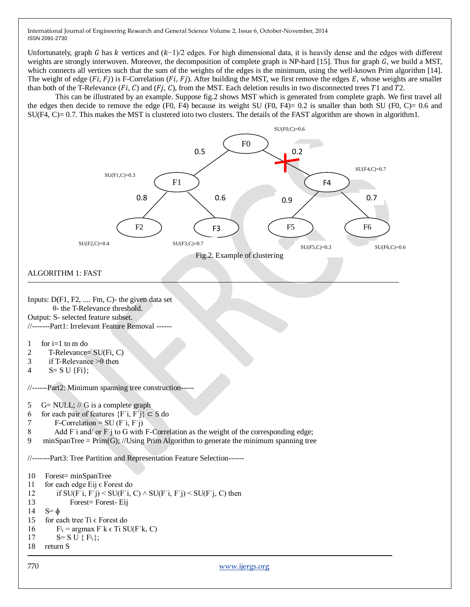Unfortunately, graph G has k vertices and  $(k-1)/2$  edges. For high dimensional data, it is heavily dense and the edges with different weights are strongly interwoven. Moreover, the decomposition of complete graph is NP-hard [15]. Thus for graph  $G$ , we build a MST, which connects all vertices such that the sum of the weights of the edges is the minimum, using the well-known Prim algorithm [14]. The weight of edge  $(F_i, F_j)$  is F-Correlation  $(F_i, F_j)$ . After building the MST, we first remove the edges E, whose weights are smaller than both of the T-Relevance  $(F_i, C)$  and  $(F_j, C)$ , from the MST. Each deletion results in two disconnected trees T1 and T2.

This can be illustrated by an example. Suppose fig.2 shows MST which is generated from complete graph. We first travel all the edges then decide to remove the edge (F0, F4) because its weight SU (F0, F4)= 0.2 is smaller than both SU (F0, C)= 0.6 and SU(F4, C)= 0.7. This makes the MST is clustered into two clusters. The details of the FAST algorithm are shown in algorithm1.

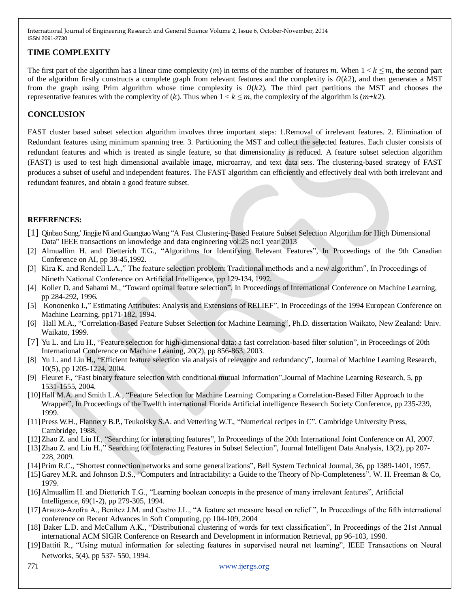## **TIME COMPLEXITY**

The first part of the algorithm has a linear time complexity (*m*) in terms of the number of features *m*. When  $1 < k \le m$ , the second part of the algorithm firstly constructs a complete graph from relevant features and the complexity is  $O(k2)$ , and then generates a MST from the graph using Prim algorithm whose time complexity is  $O(k2)$ . The third part partitions the MST and chooses the representative features with the complexity of (k). Thus when  $1 < k \le m$ , the complexity of the algorithm is  $(m+k2)$ .

## **CONCLUSION**

FAST cluster based subset selection algorithm involves three important steps: 1.Removal of irrelevant features. 2. Elimination of Redundant features using minimum spanning tree. 3. Partitioning the MST and collect the selected features. Each cluster consists of redundant features and which is treated as single feature, so that dimensionality is reduced. A feature subset selection algorithm (FAST) is used to test high dimensional available image, microarray, and text data sets. The clustering-based strategy of FAST produces a subset of useful and independent features. The FAST algorithm can efficiently and effectively deal with both irrelevant and redundant features, and obtain a good feature subset.

### **REFERENCES:**

- [1] Qinbao Song,'Jingjie Ni and Guangtao Wang "A Fast Clustering-Based Feature Subset Selection Algorithm for High Dimensional Data" IEEE transactions on knowledge and data engineering vol:25 no:1 year 2013
- [2] Almuallim H. and Dietterich T.G., "Algorithms for Identifying Relevant Features", In Proceedings of the 9th Canadian Conference on AI, pp 38-45,1992.
- [3] Kira K. and Rendell L.A.," The feature selection problem: Traditional methods and a new algorithm", In Proceedings of Nineth National Conference on Artificial Intelligence, pp 129-134, 1992.
- [4] Koller D. and Sahami M., "Toward optimal feature selection", In Proceedings of International Conference on Machine Learning, pp 284-292, 1996.
- [5] Kononenko I.," Estimating Attributes: Analysis and Extensions of RELIEF", In Proceedings of the 1994 European Conference on Machine Learning, pp171-182, 1994.
- [6] Hall M.A., "Correlation-Based Feature Subset Selection for Machine Learning", Ph.D. dissertation Waikato, New Zealand: Univ. Waikato, 1999.
- [7] Yu L. and Liu H., "Feature selection for high-dimensional data: a fast correlation-based filter solution", in Proceedings of 20th International Conference on Machine Leaning, 20(2), pp 856-863, 2003.
- [8] Yu L. and Liu H., "Efficient feature selection via analysis of relevance and redundancy", Journal of Machine Learning Research, 10(5), pp 1205-1224, 2004.
- [9] Fleuret F., "Fast binary feature selection with conditional mutual Information",Journal of Machine Learning Research, 5, pp 1531-1555, 2004.
- [10]Hall M.A. and Smith L.A., "Feature Selection for Machine Learning: Comparing a Correlation-Based Filter Approach to the Wrapper", In Proceedings of the Twelfth international Florida Artificial intelligence Research Society Conference, pp 235-239, 1999.
- [11]Press W.H., Flannery B.P., Teukolsky S.A. and Vetterling W.T., "Numerical recipes in C". Cambridge University Press, Cambridge, 1988.
- [12]Zhao Z. and Liu H., "Searching for interacting features", In Proceedings of the 20th International Joint Conference on AI, 2007.
- [13]Zhao Z. and Liu H.," Searching for Interacting Features in Subset Selection", Journal Intelligent Data Analysis, 13(2), pp 207- 228, 2009.
- [14]Prim R.C., "Shortest connection networks and some generalizations", Bell System Technical Journal, 36, pp 1389-1401, 1957.
- [15]Garey M.R. and Johnson D.S., "Computers and Intractability: a Guide to the Theory of Np-Completeness". W. H. Freeman & Co, 1979.
- [16]Almuallim H. and Dietterich T.G., "Learning boolean concepts in the presence of many irrelevant features", Artificial Intelligence, 69(1-2), pp 279-305, 1994.
- [17]Arauzo-Azofra A., Benitez J.M. and Castro J.L., "A feature set measure based on relief ", In Proceedings of the fifth international conference on Recent Advances in Soft Computing, pp 104-109, 2004
- [18] Baker L.D. and McCallum A.K., "Distributional clustering of words for text classification", In Proceedings of the 21st Annual international ACM SIGIR Conference on Research and Development in information Retrieval, pp 96-103, 1998.
- [19]Battiti R., "Using mutual information for selecting features in supervised neural net learning", IEEE Transactions on Neural Networks, 5(4), pp 537- 550, 1994.